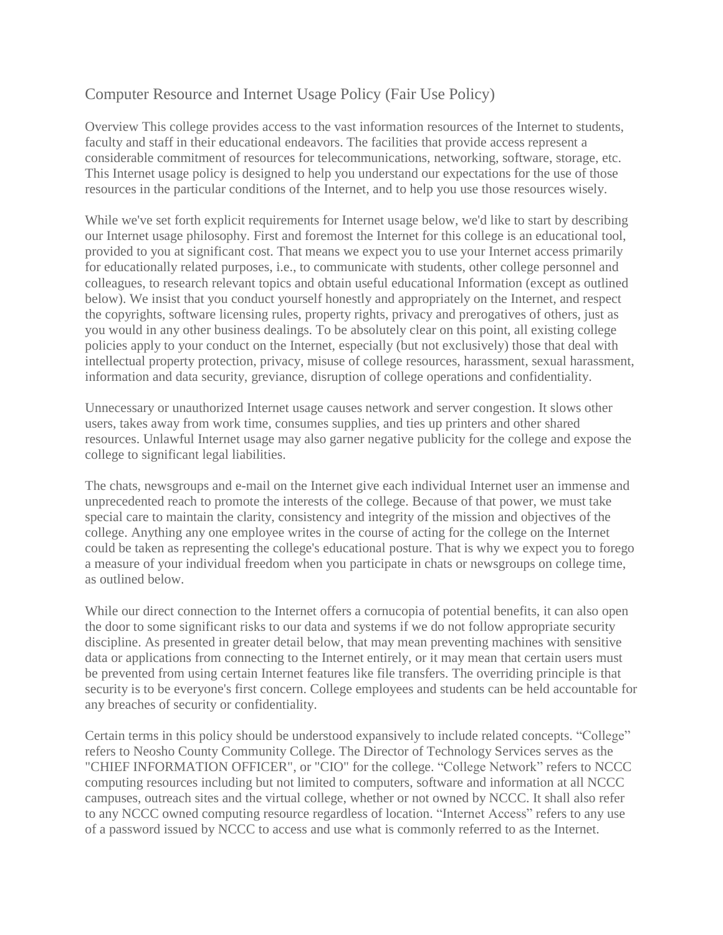# Computer Resource and Internet Usage Policy (Fair Use Policy)

Overview This college provides access to the vast information resources of the Internet to students, faculty and staff in their educational endeavors. The facilities that provide access represent a considerable commitment of resources for telecommunications, networking, software, storage, etc. This Internet usage policy is designed to help you understand our expectations for the use of those resources in the particular conditions of the Internet, and to help you use those resources wisely.

While we've set forth explicit requirements for Internet usage below, we'd like to start by describing our Internet usage philosophy. First and foremost the Internet for this college is an educational tool, provided to you at significant cost. That means we expect you to use your Internet access primarily for educationally related purposes, i.e., to communicate with students, other college personnel and colleagues, to research relevant topics and obtain useful educational Information (except as outlined below). We insist that you conduct yourself honestly and appropriately on the Internet, and respect the copyrights, software licensing rules, property rights, privacy and prerogatives of others, just as you would in any other business dealings. To be absolutely clear on this point, all existing college policies apply to your conduct on the Internet, especially (but not exclusively) those that deal with intellectual property protection, privacy, misuse of college resources, harassment, sexual harassment, information and data security, greviance, disruption of college operations and confidentiality.

Unnecessary or unauthorized Internet usage causes network and server congestion. It slows other users, takes away from work time, consumes supplies, and ties up printers and other shared resources. Unlawful Internet usage may also garner negative publicity for the college and expose the college to significant legal liabilities.

The chats, newsgroups and e-mail on the Internet give each individual Internet user an immense and unprecedented reach to promote the interests of the college. Because of that power, we must take special care to maintain the clarity, consistency and integrity of the mission and objectives of the college. Anything any one employee writes in the course of acting for the college on the Internet could be taken as representing the college's educational posture. That is why we expect you to forego a measure of your individual freedom when you participate in chats or newsgroups on college time, as outlined below.

While our direct connection to the Internet offers a cornucopia of potential benefits, it can also open the door to some significant risks to our data and systems if we do not follow appropriate security discipline. As presented in greater detail below, that may mean preventing machines with sensitive data or applications from connecting to the Internet entirely, or it may mean that certain users must be prevented from using certain Internet features like file transfers. The overriding principle is that security is to be everyone's first concern. College employees and students can be held accountable for any breaches of security or confidentiality.

Certain terms in this policy should be understood expansively to include related concepts. "College" refers to Neosho County Community College. The Director of Technology Services serves as the "CHIEF INFORMATION OFFICER", or "CIO" for the college. "College Network" refers to NCCC computing resources including but not limited to computers, software and information at all NCCC campuses, outreach sites and the virtual college, whether or not owned by NCCC. It shall also refer to any NCCC owned computing resource regardless of location. "Internet Access" refers to any use of a password issued by NCCC to access and use what is commonly referred to as the Internet.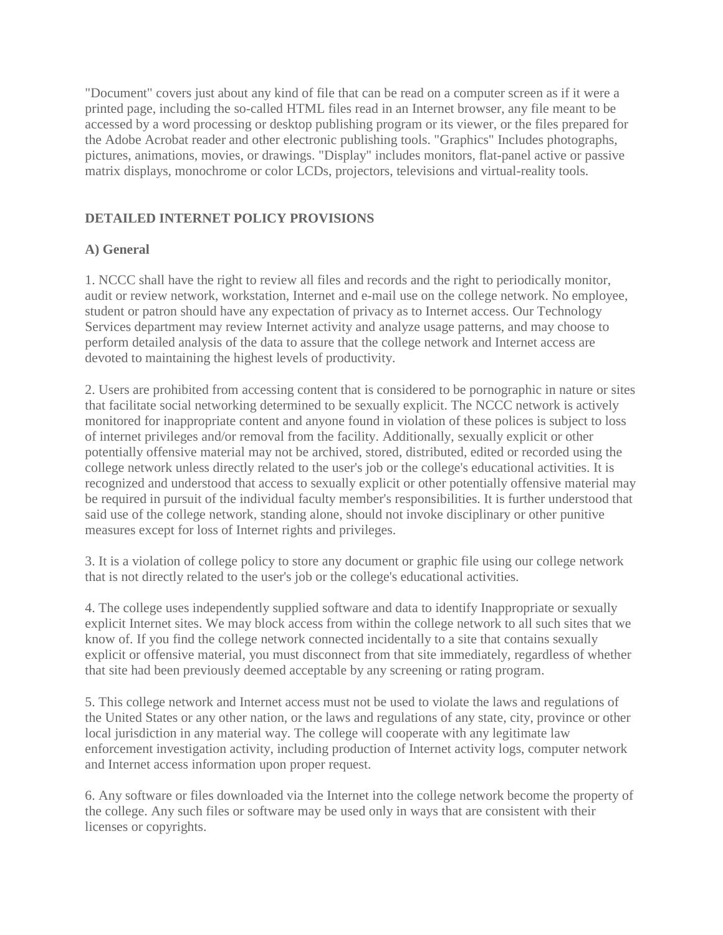"Document" covers just about any kind of file that can be read on a computer screen as if it were a printed page, including the so-called HTML files read in an Internet browser, any file meant to be accessed by a word processing or desktop publishing program or its viewer, or the files prepared for the Adobe Acrobat reader and other electronic publishing tools. "Graphics" Includes photographs, pictures, animations, movies, or drawings. "Display" includes monitors, flat-panel active or passive matrix displays, monochrome or color LCDs, projectors, televisions and virtual-reality tools.

## **DETAILED INTERNET POLICY PROVISIONS**

## **A) General**

1. NCCC shall have the right to review all files and records and the right to periodically monitor, audit or review network, workstation, Internet and e-mail use on the college network. No employee, student or patron should have any expectation of privacy as to Internet access. Our Technology Services department may review Internet activity and analyze usage patterns, and may choose to perform detailed analysis of the data to assure that the college network and Internet access are devoted to maintaining the highest levels of productivity.

2. Users are prohibited from accessing content that is considered to be pornographic in nature or sites that facilitate social networking determined to be sexually explicit. The NCCC network is actively monitored for inappropriate content and anyone found in violation of these polices is subject to loss of internet privileges and/or removal from the facility. Additionally, sexually explicit or other potentially offensive material may not be archived, stored, distributed, edited or recorded using the college network unless directly related to the user's job or the college's educational activities. It is recognized and understood that access to sexually explicit or other potentially offensive material may be required in pursuit of the individual faculty member's responsibilities. It is further understood that said use of the college network, standing alone, should not invoke disciplinary or other punitive measures except for loss of Internet rights and privileges.

3. It is a violation of college policy to store any document or graphic file using our college network that is not directly related to the user's job or the college's educational activities.

4. The college uses independently supplied software and data to identify Inappropriate or sexually explicit Internet sites. We may block access from within the college network to all such sites that we know of. If you find the college network connected incidentally to a site that contains sexually explicit or offensive material, you must disconnect from that site immediately, regardless of whether that site had been previously deemed acceptable by any screening or rating program.

5. This college network and Internet access must not be used to violate the laws and regulations of the United States or any other nation, or the laws and regulations of any state, city, province or other local jurisdiction in any material way. The college will cooperate with any legitimate law enforcement investigation activity, including production of Internet activity logs, computer network and Internet access information upon proper request.

6. Any software or files downloaded via the Internet into the college network become the property of the college. Any such files or software may be used only in ways that are consistent with their licenses or copyrights.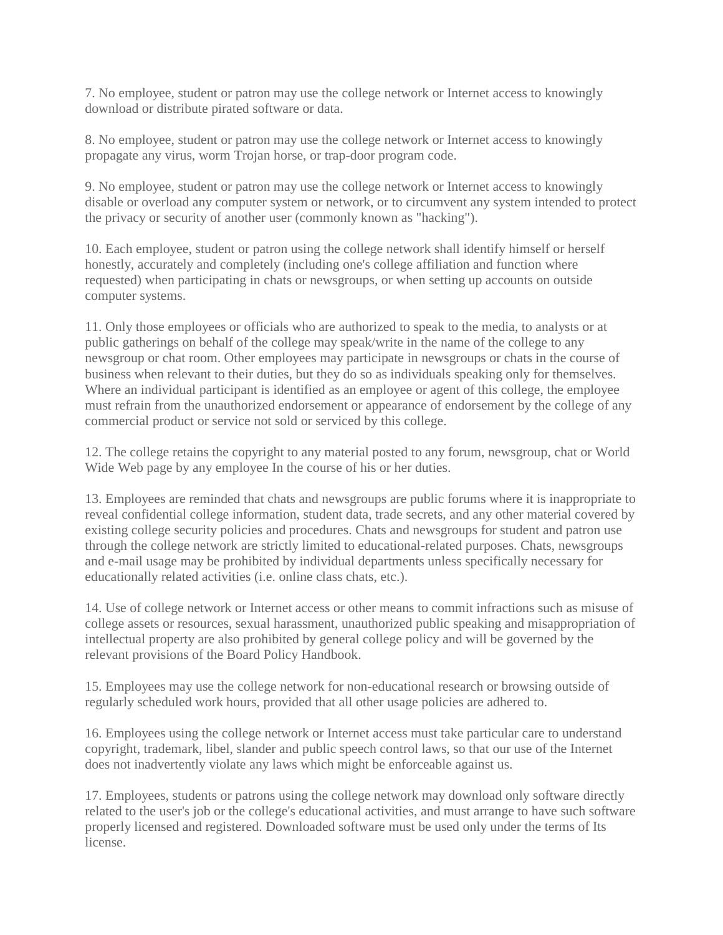7. No employee, student or patron may use the college network or Internet access to knowingly download or distribute pirated software or data.

8. No employee, student or patron may use the college network or Internet access to knowingly propagate any virus, worm Trojan horse, or trap-door program code.

9. No employee, student or patron may use the college network or Internet access to knowingly disable or overload any computer system or network, or to circumvent any system intended to protect the privacy or security of another user (commonly known as "hacking").

10. Each employee, student or patron using the college network shall identify himself or herself honestly, accurately and completely (including one's college affiliation and function where requested) when participating in chats or newsgroups, or when setting up accounts on outside computer systems.

11. Only those employees or officials who are authorized to speak to the media, to analysts or at public gatherings on behalf of the college may speak/write in the name of the college to any newsgroup or chat room. Other employees may participate in newsgroups or chats in the course of business when relevant to their duties, but they do so as individuals speaking only for themselves. Where an individual participant is identified as an employee or agent of this college, the employee must refrain from the unauthorized endorsement or appearance of endorsement by the college of any commercial product or service not sold or serviced by this college.

12. The college retains the copyright to any material posted to any forum, newsgroup, chat or World Wide Web page by any employee In the course of his or her duties.

13. Employees are reminded that chats and newsgroups are public forums where it is inappropriate to reveal confidential college information, student data, trade secrets, and any other material covered by existing college security policies and procedures. Chats and newsgroups for student and patron use through the college network are strictly limited to educational-related purposes. Chats, newsgroups and e-mail usage may be prohibited by individual departments unless specifically necessary for educationally related activities (i.e. online class chats, etc.).

14. Use of college network or Internet access or other means to commit infractions such as misuse of college assets or resources, sexual harassment, unauthorized public speaking and misappropriation of intellectual property are also prohibited by general college policy and will be governed by the relevant provisions of the Board Policy Handbook.

15. Employees may use the college network for non-educational research or browsing outside of regularly scheduled work hours, provided that all other usage policies are adhered to.

16. Employees using the college network or Internet access must take particular care to understand copyright, trademark, libel, slander and public speech control laws, so that our use of the Internet does not inadvertently violate any laws which might be enforceable against us.

17. Employees, students or patrons using the college network may download only software directly related to the user's job or the college's educational activities, and must arrange to have such software properly licensed and registered. Downloaded software must be used only under the terms of Its license.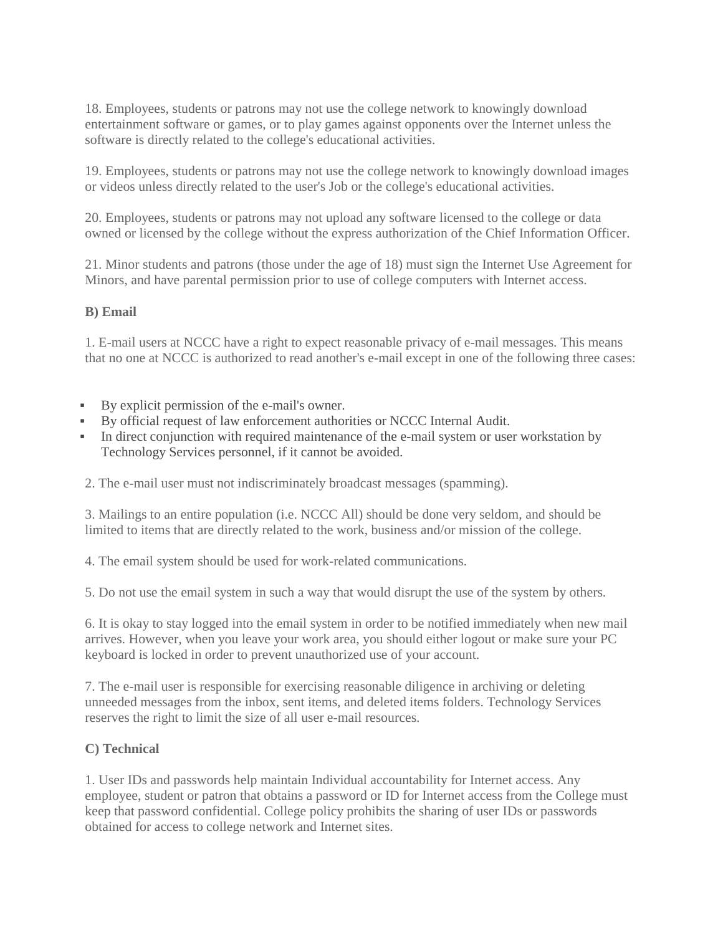18. Employees, students or patrons may not use the college network to knowingly download entertainment software or games, or to play games against opponents over the Internet unless the software is directly related to the college's educational activities.

19. Employees, students or patrons may not use the college network to knowingly download images or videos unless directly related to the user's Job or the college's educational activities.

20. Employees, students or patrons may not upload any software licensed to the college or data owned or licensed by the college without the express authorization of the Chief Information Officer.

21. Minor students and patrons (those under the age of 18) must sign the Internet Use Agreement for Minors, and have parental permission prior to use of college computers with Internet access.

#### **B) Email**

1. E-mail users at NCCC have a right to expect reasonable privacy of e-mail messages. This means that no one at NCCC is authorized to read another's e-mail except in one of the following three cases:

- By explicit permission of the e-mail's owner.
- By official request of law enforcement authorities or NCCC Internal Audit.
- In direct conjunction with required maintenance of the e-mail system or user workstation by Technology Services personnel, if it cannot be avoided.
- 2. The e-mail user must not indiscriminately broadcast messages (spamming).

3. Mailings to an entire population (i.e. NCCC All) should be done very seldom, and should be limited to items that are directly related to the work, business and/or mission of the college.

4. The email system should be used for work-related communications.

5. Do not use the email system in such a way that would disrupt the use of the system by others.

6. It is okay to stay logged into the email system in order to be notified immediately when new mail arrives. However, when you leave your work area, you should either logout or make sure your PC keyboard is locked in order to prevent unauthorized use of your account.

7. The e-mail user is responsible for exercising reasonable diligence in archiving or deleting unneeded messages from the inbox, sent items, and deleted items folders. Technology Services reserves the right to limit the size of all user e-mail resources.

#### **C) Technical**

1. User IDs and passwords help maintain Individual accountability for Internet access. Any employee, student or patron that obtains a password or ID for Internet access from the College must keep that password confidential. College policy prohibits the sharing of user IDs or passwords obtained for access to college network and Internet sites.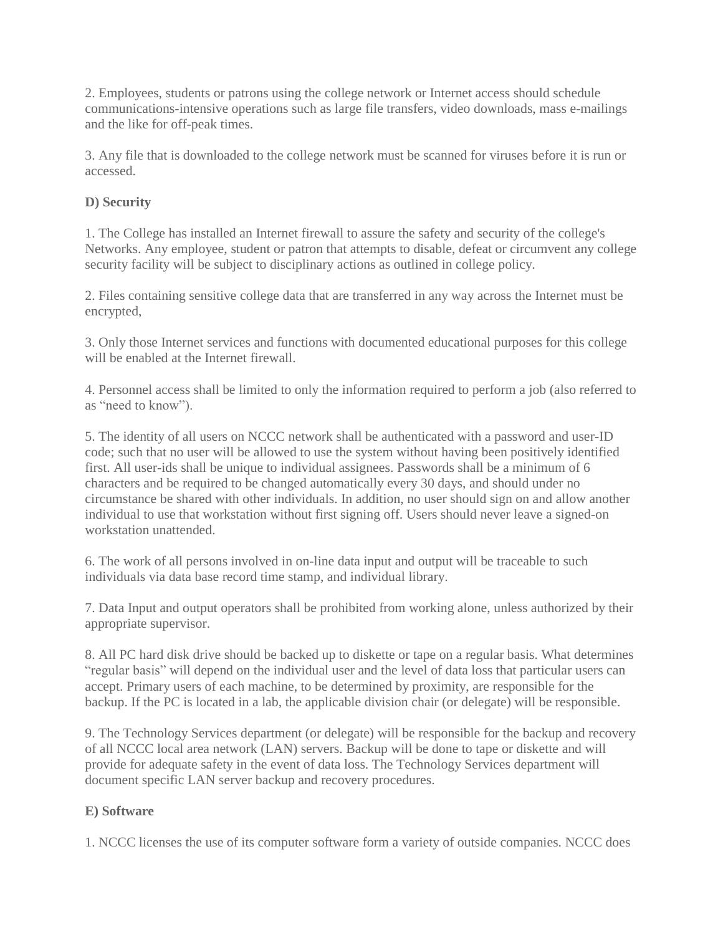2. Employees, students or patrons using the college network or Internet access should schedule communications-intensive operations such as large file transfers, video downloads, mass e-mailings and the like for off-peak times.

3. Any file that is downloaded to the college network must be scanned for viruses before it is run or accessed.

### **D) Security**

1. The College has installed an Internet firewall to assure the safety and security of the college's Networks. Any employee, student or patron that attempts to disable, defeat or circumvent any college security facility will be subject to disciplinary actions as outlined in college policy.

2. Files containing sensitive college data that are transferred in any way across the Internet must be encrypted,

3. Only those Internet services and functions with documented educational purposes for this college will be enabled at the Internet firewall.

4. Personnel access shall be limited to only the information required to perform a job (also referred to as "need to know").

5. The identity of all users on NCCC network shall be authenticated with a password and user-ID code; such that no user will be allowed to use the system without having been positively identified first. All user-ids shall be unique to individual assignees. Passwords shall be a minimum of 6 characters and be required to be changed automatically every 30 days, and should under no circumstance be shared with other individuals. In addition, no user should sign on and allow another individual to use that workstation without first signing off. Users should never leave a signed-on workstation unattended.

6. The work of all persons involved in on-line data input and output will be traceable to such individuals via data base record time stamp, and individual library.

7. Data Input and output operators shall be prohibited from working alone, unless authorized by their appropriate supervisor.

8. All PC hard disk drive should be backed up to diskette or tape on a regular basis. What determines "regular basis" will depend on the individual user and the level of data loss that particular users can accept. Primary users of each machine, to be determined by proximity, are responsible for the backup. If the PC is located in a lab, the applicable division chair (or delegate) will be responsible.

9. The Technology Services department (or delegate) will be responsible for the backup and recovery of all NCCC local area network (LAN) servers. Backup will be done to tape or diskette and will provide for adequate safety in the event of data loss. The Technology Services department will document specific LAN server backup and recovery procedures.

## **E) Software**

1. NCCC licenses the use of its computer software form a variety of outside companies. NCCC does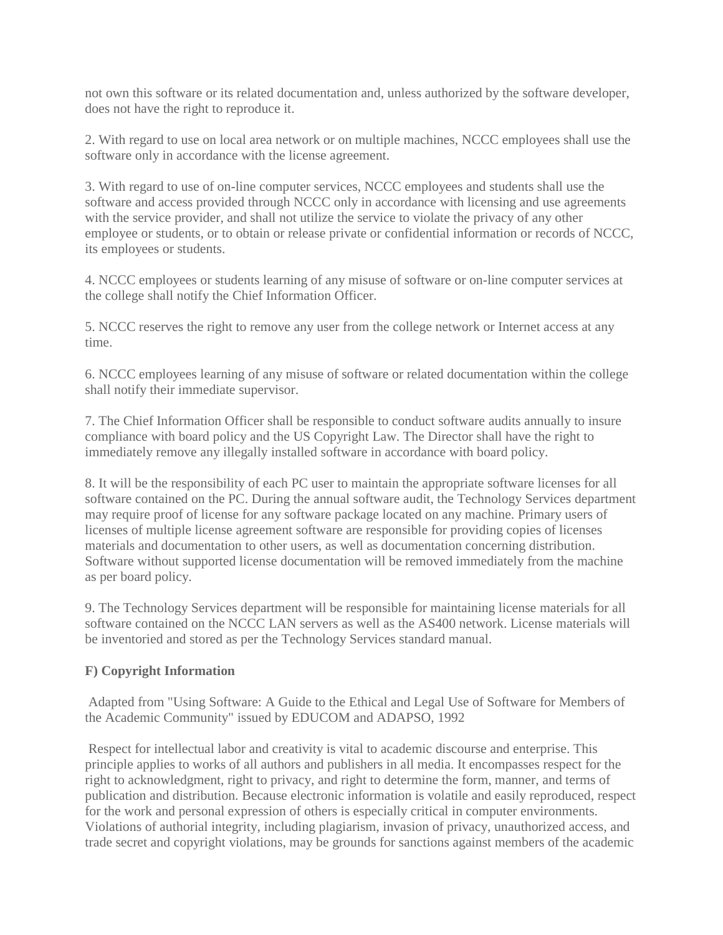not own this software or its related documentation and, unless authorized by the software developer, does not have the right to reproduce it.

2. With regard to use on local area network or on multiple machines, NCCC employees shall use the software only in accordance with the license agreement.

3. With regard to use of on-line computer services, NCCC employees and students shall use the software and access provided through NCCC only in accordance with licensing and use agreements with the service provider, and shall not utilize the service to violate the privacy of any other employee or students, or to obtain or release private or confidential information or records of NCCC, its employees or students.

4. NCCC employees or students learning of any misuse of software or on-line computer services at the college shall notify the Chief Information Officer.

5. NCCC reserves the right to remove any user from the college network or Internet access at any time.

6. NCCC employees learning of any misuse of software or related documentation within the college shall notify their immediate supervisor.

7. The Chief Information Officer shall be responsible to conduct software audits annually to insure compliance with board policy and the US Copyright Law. The Director shall have the right to immediately remove any illegally installed software in accordance with board policy.

8. It will be the responsibility of each PC user to maintain the appropriate software licenses for all software contained on the PC. During the annual software audit, the Technology Services department may require proof of license for any software package located on any machine. Primary users of licenses of multiple license agreement software are responsible for providing copies of licenses materials and documentation to other users, as well as documentation concerning distribution. Software without supported license documentation will be removed immediately from the machine as per board policy.

9. The Technology Services department will be responsible for maintaining license materials for all software contained on the NCCC LAN servers as well as the AS400 network. License materials will be inventoried and stored as per the Technology Services standard manual.

## **F) Copyright Information**

Adapted from "Using Software: A Guide to the Ethical and Legal Use of Software for Members of the Academic Community" issued by EDUCOM and ADAPSO, 1992

Respect for intellectual labor and creativity is vital to academic discourse and enterprise. This principle applies to works of all authors and publishers in all media. It encompasses respect for the right to acknowledgment, right to privacy, and right to determine the form, manner, and terms of publication and distribution. Because electronic information is volatile and easily reproduced, respect for the work and personal expression of others is especially critical in computer environments. Violations of authorial integrity, including plagiarism, invasion of privacy, unauthorized access, and trade secret and copyright violations, may be grounds for sanctions against members of the academic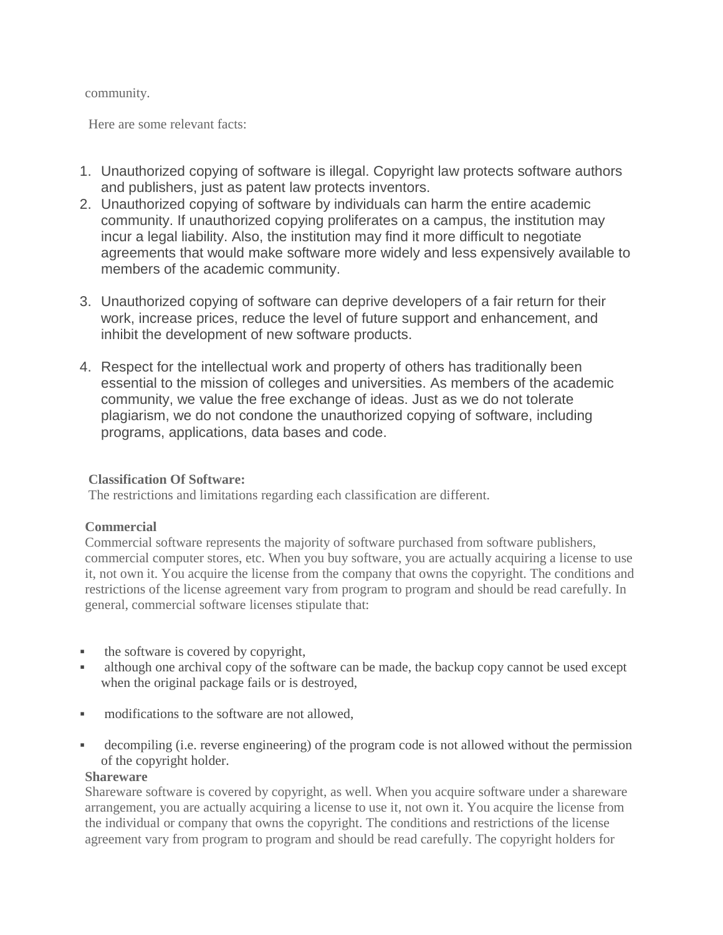#### community.

Here are some relevant facts:

- 1. Unauthorized copying of software is illegal. Copyright law protects software authors and publishers, just as patent law protects inventors.
- 2. Unauthorized copying of software by individuals can harm the entire academic community. If unauthorized copying proliferates on a campus, the institution may incur a legal liability. Also, the institution may find it more difficult to negotiate agreements that would make software more widely and less expensively available to members of the academic community.
- 3. Unauthorized copying of software can deprive developers of a fair return for their work, increase prices, reduce the level of future support and enhancement, and inhibit the development of new software products.
- 4. Respect for the intellectual work and property of others has traditionally been essential to the mission of colleges and universities. As members of the academic community, we value the free exchange of ideas. Just as we do not tolerate plagiarism, we do not condone the unauthorized copying of software, including programs, applications, data bases and code.

#### **Classification Of Software:**

The restrictions and limitations regarding each classification are different.

#### **Commercial**

Commercial software represents the majority of software purchased from software publishers, commercial computer stores, etc. When you buy software, you are actually acquiring a license to use it, not own it. You acquire the license from the company that owns the copyright. The conditions and restrictions of the license agreement vary from program to program and should be read carefully. In general, commercial software licenses stipulate that:

- the software is covered by copyright,
- although one archival copy of the software can be made, the backup copy cannot be used except when the original package fails or is destroyed,
- modifications to the software are not allowed,
- decompiling (i.e. reverse engineering) of the program code is not allowed without the permission of the copyright holder.

#### **Shareware**

Shareware software is covered by copyright, as well. When you acquire software under a shareware arrangement, you are actually acquiring a license to use it, not own it. You acquire the license from the individual or company that owns the copyright. The conditions and restrictions of the license agreement vary from program to program and should be read carefully. The copyright holders for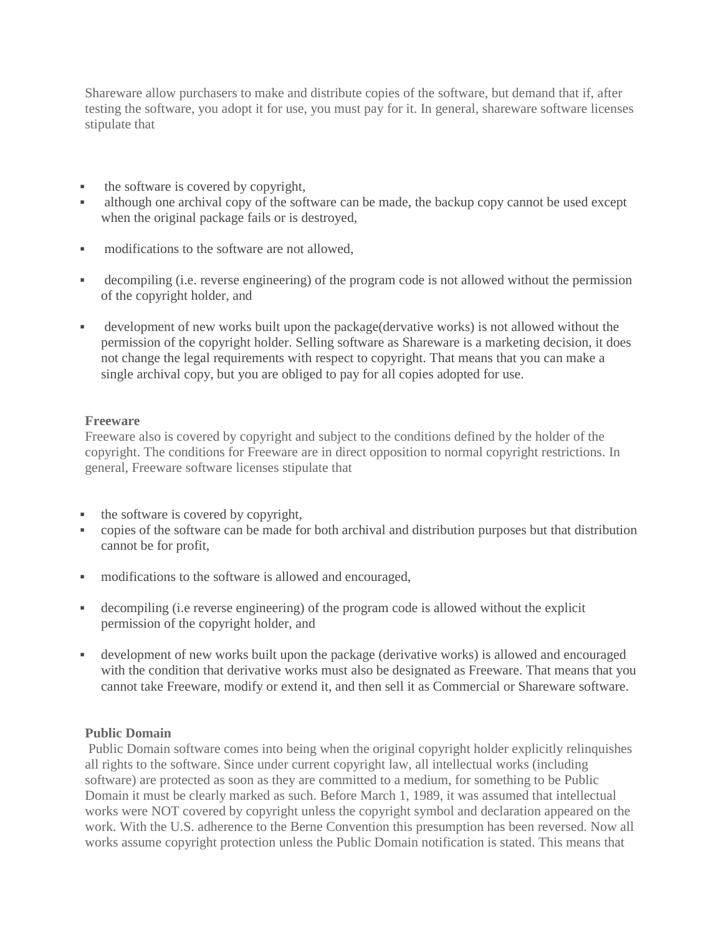Shareware allow purchasers to make and distribute copies of the software, but demand that if, after testing the software, you adopt it for use, you must pay for it. In general, shareware software licenses stipulate that

- the software is covered by copyright,
- although one archival copy of the software can be made, the backup copy cannot be used except when the original package fails or is destroyed,
- modifications to the software are not allowed.
- decompiling (i.e. reverse engineering) of the program code is not allowed without the permission of the copyright holder, and
- development of new works built upon the package(dervative works) is not allowed without the permission of the copyright holder. Selling software as Shareware is a marketing decision, it does not change the legal requirements with respect to copyright. That means that you can make a single archival copy, but you are obliged to pay for all copies adopted for use.

#### **Freeware**

Freeware also is covered by copyright and subject to the conditions defined by the holder of the copyright. The conditions for Freeware are in direct opposition to normal copyright restrictions. In general, Freeware software licenses stipulate that

- $\bullet$  the software is covered by copyright,
- copies of the software can be made for both archival and distribution purposes but that distribution cannot be for profit,
- modifications to the software is allowed and encouraged,
- decompiling (i.e reverse engineering) of the program code is allowed without the explicit permission of the copyright holder, and
- development of new works built upon the package (derivative works) is allowed and encouraged with the condition that derivative works must also be designated as Freeware. That means that you cannot take Freeware, modify or extend it, and then sell it as Commercial or Shareware software.

#### **Public Domain**

Public Domain software comes into being when the original copyright holder explicitly relinquishes all rights to the software. Since under current copyright law, all intellectual works (including software) are protected as soon as they are committed to a medium, for something to be Public Domain it must be clearly marked as such. Before March 1, 1989, it was assumed that intellectual works were NOT covered by copyright unless the copyright symbol and declaration appeared on the work. With the U.S. adherence to the Berne Convention this presumption has been reversed. Now all works assume copyright protection unless the Public Domain notification is stated. This means that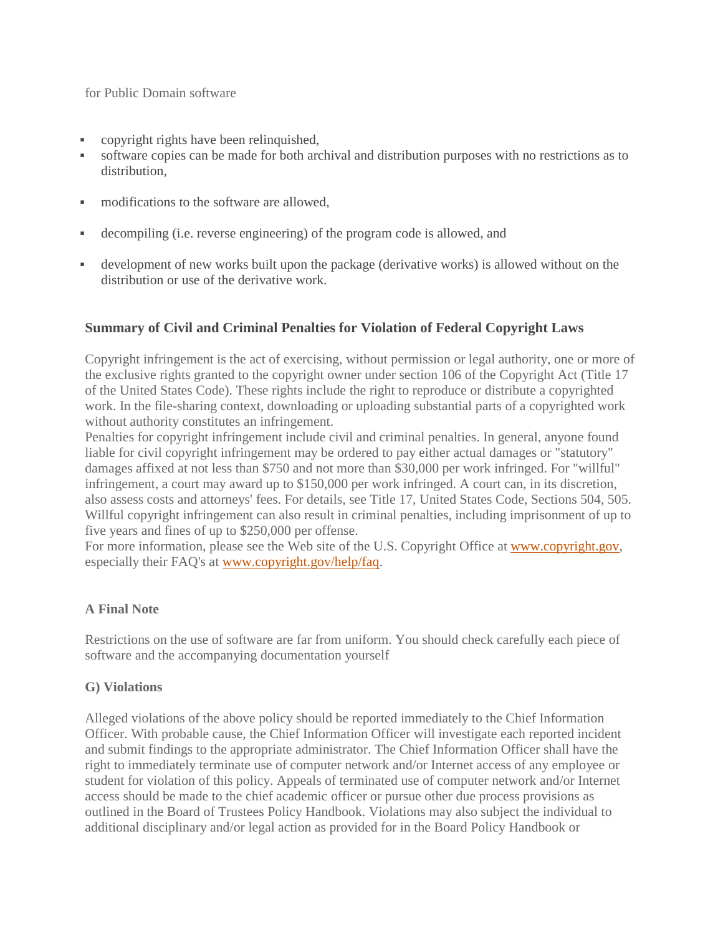for Public Domain software

- copyright rights have been relinquished,
- software copies can be made for both archival and distribution purposes with no restrictions as to distribution,
- modifications to the software are allowed,
- decompiling (i.e. reverse engineering) of the program code is allowed, and
- development of new works built upon the package (derivative works) is allowed without on the distribution or use of the derivative work.

## **Summary of Civil and Criminal Penalties for Violation of Federal Copyright Laws**

Copyright infringement is the act of exercising, without permission or legal authority, one or more of the exclusive rights granted to the copyright owner under section 106 of the Copyright Act (Title 17 of the United States Code). These rights include the right to reproduce or distribute a copyrighted work. In the file-sharing context, downloading or uploading substantial parts of a copyrighted work without authority constitutes an infringement.

Penalties for copyright infringement include civil and criminal penalties. In general, anyone found liable for civil copyright infringement may be ordered to pay either actual damages or "statutory" damages affixed at not less than \$750 and not more than \$30,000 per work infringed. For "willful" infringement, a court may award up to \$150,000 per work infringed. A court can, in its discretion, also assess costs and attorneys' fees. For details, see Title 17, United States Code, Sections 504, 505. Willful copyright infringement can also result in criminal penalties, including imprisonment of up to five years and fines of up to \$250,000 per offense.

For more information, please see the Web site of the U.S. Copyright Office at [www.copyright.gov,](http://www.copyright.gov/) especially their FAQ's at [www.copyright.gov/help/faq.](http://www.copyright.gov/help/faq)

#### **A Final Note**

Restrictions on the use of software are far from uniform. You should check carefully each piece of software and the accompanying documentation yourself

## **G) Violations**

Alleged violations of the above policy should be reported immediately to the Chief Information Officer. With probable cause, the Chief Information Officer will investigate each reported incident and submit findings to the appropriate administrator. The Chief Information Officer shall have the right to immediately terminate use of computer network and/or Internet access of any employee or student for violation of this policy. Appeals of terminated use of computer network and/or Internet access should be made to the chief academic officer or pursue other due process provisions as outlined in the Board of Trustees Policy Handbook. Violations may also subject the individual to additional disciplinary and/or legal action as provided for in the Board Policy Handbook or